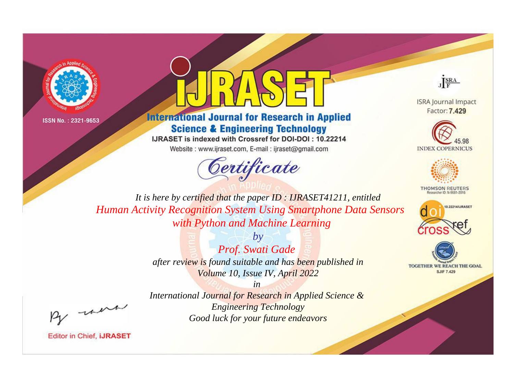



**International Journal for Research in Applied Science & Engineering Technology** 

IJRASET is indexed with Crossref for DOI-DOI: 10.22214

Website: www.ijraset.com, E-mail: ijraset@gmail.com



JERA

**ISRA Journal Impact** Factor: 7.429





**THOMSON REUTERS** 



TOGETHER WE REACH THE GOAL **SJIF 7.429** 

It is here by certified that the paper ID : IJRASET41211, entitled **Human Activity Recognition System Using Smartphone Data Sensors** with Python and Machine Learning

> $b\nu$ Prof. Swati Gade after review is found suitable and has been published in Volume 10, Issue IV, April 2022

were

International Journal for Research in Applied Science & **Engineering Technology** Good luck for your future endeavors

 $in$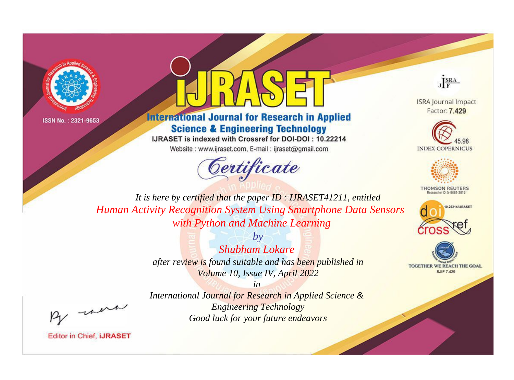



**International Journal for Research in Applied Science & Engineering Technology** 

IJRASET is indexed with Crossref for DOI-DOI: 10.22214

Website: www.ijraset.com, E-mail: ijraset@gmail.com





**ISRA Journal Impact** Factor: 7.429





**THOMSON REUTERS** 



TOGETHER WE REACH THE GOAL **SJIF 7.429** 

*It is here by certified that the paper ID : IJRASET41211, entitled Human Activity Recognition System Using Smartphone Data Sensors with Python and Machine Learning*

> *by Shubham Lokare after review is found suitable and has been published in Volume 10, Issue IV, April 2022*

, un

*International Journal for Research in Applied Science & Engineering Technology Good luck for your future endeavors*

*in*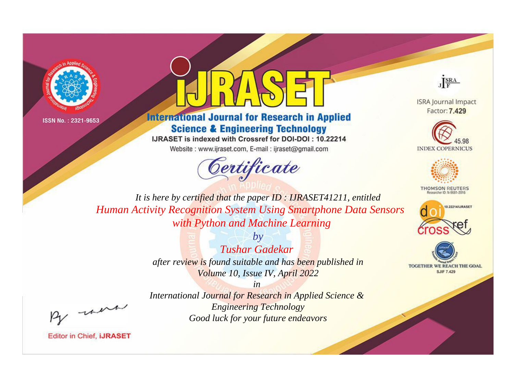



**International Journal for Research in Applied Science & Engineering Technology** 

IJRASET is indexed with Crossref for DOI-DOI: 10.22214

Website: www.ijraset.com, E-mail: ijraset@gmail.com





**ISRA Journal Impact** Factor: 7.429





**THOMSON REUTERS** 



TOGETHER WE REACH THE GOAL **SJIF 7.429** 

*It is here by certified that the paper ID : IJRASET41211, entitled Human Activity Recognition System Using Smartphone Data Sensors with Python and Machine Learning*

> *by Tushar Gadekar after review is found suitable and has been published in Volume 10, Issue IV, April 2022*

, un

*International Journal for Research in Applied Science & Engineering Technology Good luck for your future endeavors*

*in*